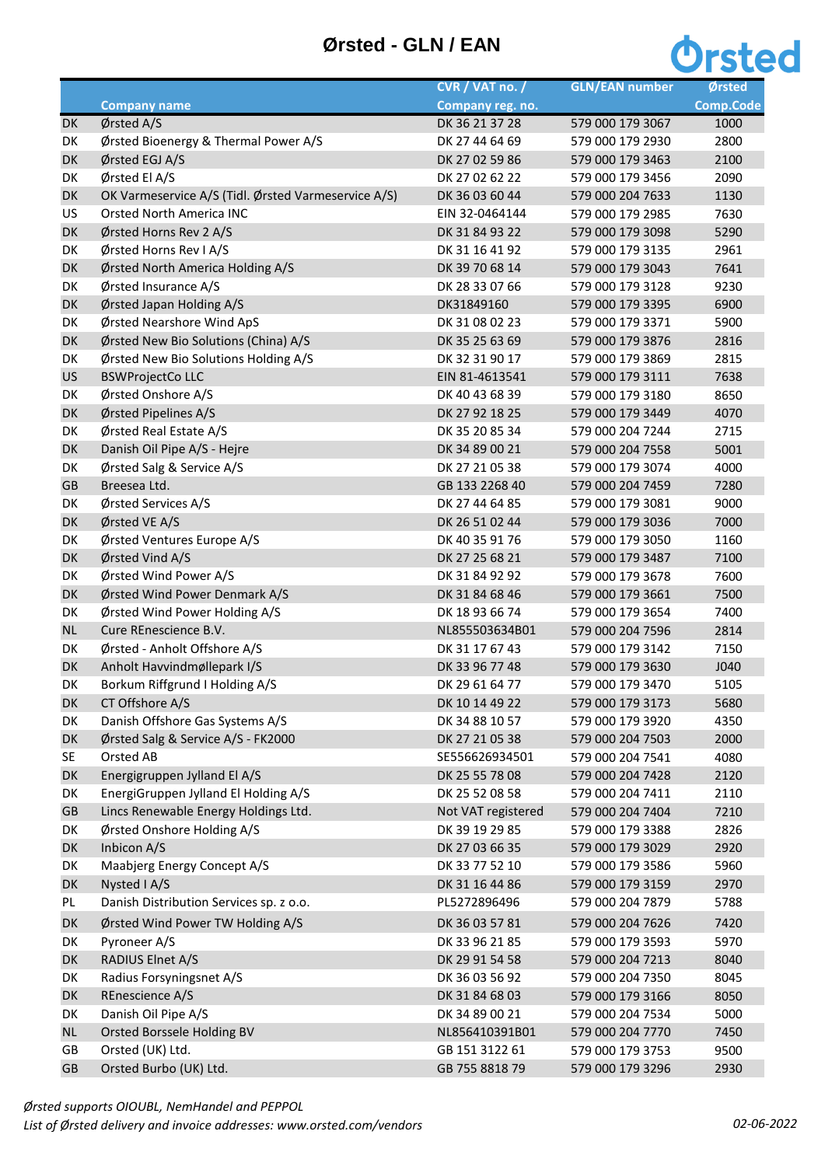## **Ørsted - GLN / EAN**



|           |                                                     | CVR / VAT no. /    | <b>GLN/EAN number</b> | Ørsted           |
|-----------|-----------------------------------------------------|--------------------|-----------------------|------------------|
|           | <b>Company name</b>                                 | Company reg. no.   |                       | <b>Comp.Code</b> |
| DK        | Ørsted A/S                                          | DK 36 21 37 28     | 579 000 179 3067      | 1000             |
| DK        | Ørsted Bioenergy & Thermal Power A/S                | DK 27 44 64 69     | 579 000 179 2930      | 2800             |
| DK        | Ørsted EGJ A/S                                      | DK 27 02 59 86     | 579 000 179 3463      | 2100             |
| DK        | Ørsted El A/S                                       | DK 27 02 62 22     | 579 000 179 3456      | 2090             |
| DK        | OK Varmeservice A/S (Tidl. Ørsted Varmeservice A/S) | DK 36 03 60 44     | 579 000 204 7633      | 1130             |
| US        | <b>Orsted North America INC</b>                     | EIN 32-0464144     | 579 000 179 2985      | 7630             |
| DK        | Ørsted Horns Rev 2 A/S                              | DK 31 84 93 22     | 579 000 179 3098      | 5290             |
| DK        | Ørsted Horns Rev I A/S                              | DK 31 16 41 92     | 579 000 179 3135      | 2961             |
| DK        | Ørsted North America Holding A/S                    | DK 39 70 68 14     | 579 000 179 3043      | 7641             |
| DK        | Ørsted Insurance A/S                                | DK 28 33 07 66     | 579 000 179 3128      | 9230             |
| DK        | Ørsted Japan Holding A/S                            | DK31849160         | 579 000 179 3395      | 6900             |
| DK        | Ørsted Nearshore Wind ApS                           | DK 31 08 02 23     | 579 000 179 3371      | 5900             |
| DK        | Ørsted New Bio Solutions (China) A/S                | DK 35 25 63 69     | 579 000 179 3876      | 2816             |
| DK        | Ørsted New Bio Solutions Holding A/S                | DK 32 31 90 17     | 579 000 179 3869      | 2815             |
| <b>US</b> | <b>BSWProjectCo LLC</b>                             | EIN 81-4613541     | 579 000 179 3111      | 7638             |
| DK        | Ørsted Onshore A/S                                  | DK 40 43 68 39     | 579 000 179 3180      | 8650             |
| DK        | Ørsted Pipelines A/S                                | DK 27 92 18 25     | 579 000 179 3449      | 4070             |
| DK        | Ørsted Real Estate A/S                              | DK 35 20 85 34     | 579 000 204 7244      | 2715             |
| DK        | Danish Oil Pipe A/S - Hejre                         | DK 34 89 00 21     | 579 000 204 7558      | 5001             |
| DK        | Ørsted Salg & Service A/S                           | DK 27 21 05 38     | 579 000 179 3074      | 4000             |
| GB        | Breesea Ltd.                                        | GB 133 2268 40     | 579 000 204 7459      | 7280             |
| DK        | Ørsted Services A/S                                 | DK 27 44 64 85     | 579 000 179 3081      | 9000             |
| DK        | Ørsted VE A/S                                       | DK 26 51 02 44     | 579 000 179 3036      | 7000             |
| DK        | Ørsted Ventures Europe A/S                          | DK 40 35 91 76     | 579 000 179 3050      | 1160             |
| DK        | Ørsted Vind A/S                                     | DK 27 25 68 21     | 579 000 179 3487      | 7100             |
| DK        | Ørsted Wind Power A/S                               | DK 31 84 92 92     | 579 000 179 3678      | 7600             |
| DK        | Ørsted Wind Power Denmark A/S                       | DK 31 84 68 46     | 579 000 179 3661      | 7500             |
| DK        | Ørsted Wind Power Holding A/S                       | DK 18 93 66 74     | 579 000 179 3654      | 7400             |
| NL        | Cure REnescience B.V.                               | NL855503634B01     | 579 000 204 7596      | 2814             |
| DK        | Ørsted - Anholt Offshore A/S                        | DK 31 17 67 43     | 579 000 179 3142      | 7150             |
| DK        | Anholt Havvindmøllepark I/S                         | DK 33 96 77 48     | 579 000 179 3630      | J040             |
| DK        | Borkum Riffgrund I Holding A/S                      | DK 29 61 64 77     | 579 000 179 3470      | 5105             |
| DK        | CT Offshore A/S                                     | DK 10 14 49 22     | 579 000 179 3173      | 5680             |
| DK        | Danish Offshore Gas Systems A/S                     | DK 34 88 10 57     | 579 000 179 3920      | 4350             |
| DK        | Ørsted Salg & Service A/S - FK2000                  | DK 27 21 05 38     | 579 000 204 7503      | 2000             |
| <b>SE</b> | Orsted AB                                           | SE556626934501     | 579 000 204 7541      | 4080             |
| DK        | Energigruppen Jylland El A/S                        | DK 25 55 78 08     | 579 000 204 7428      | 2120             |
| DK        | EnergiGruppen Jylland El Holding A/S                | DK 25 52 08 58     | 579 000 204 7411      | 2110             |
| GB        | Lincs Renewable Energy Holdings Ltd.                | Not VAT registered | 579 000 204 7404      | 7210             |
| DK        | Ørsted Onshore Holding A/S                          | DK 39 19 29 85     | 579 000 179 3388      | 2826             |
| DK        | Inbicon A/S                                         | DK 27 03 66 35     | 579 000 179 3029      | 2920             |
| DK        | Maabjerg Energy Concept A/S                         | DK 33 77 52 10     | 579 000 179 3586      | 5960             |
| DK        | Nysted I A/S                                        | DK 31 16 44 86     | 579 000 179 3159      | 2970             |
| PL        | Danish Distribution Services sp. z o.o.             | PL5272896496       | 579 000 204 7879      | 5788             |
| DK        | Ørsted Wind Power TW Holding A/S                    | DK 36 03 57 81     | 579 000 204 7626      | 7420             |
| DK        | Pyroneer A/S                                        | DK 33 96 21 85     | 579 000 179 3593      | 5970             |
| DK        | RADIUS Elnet A/S                                    | DK 29 91 54 58     | 579 000 204 7213      | 8040             |
| DK        | Radius Forsyningsnet A/S                            | DK 36 03 56 92     | 579 000 204 7350      | 8045             |
| DK        | REnescience A/S                                     | DK 31 84 68 03     | 579 000 179 3166      | 8050             |
| DK        | Danish Oil Pipe A/S                                 | DK 34 89 00 21     | 579 000 204 7534      | 5000             |
| <b>NL</b> | Orsted Borssele Holding BV                          | NL856410391B01     | 579 000 204 7770      | 7450             |
| GB        | Orsted (UK) Ltd.                                    | GB 151 3122 61     | 579 000 179 3753      | 9500             |
| GB        | Orsted Burbo (UK) Ltd.                              | GB 755 8818 79     | 579 000 179 3296      | 2930             |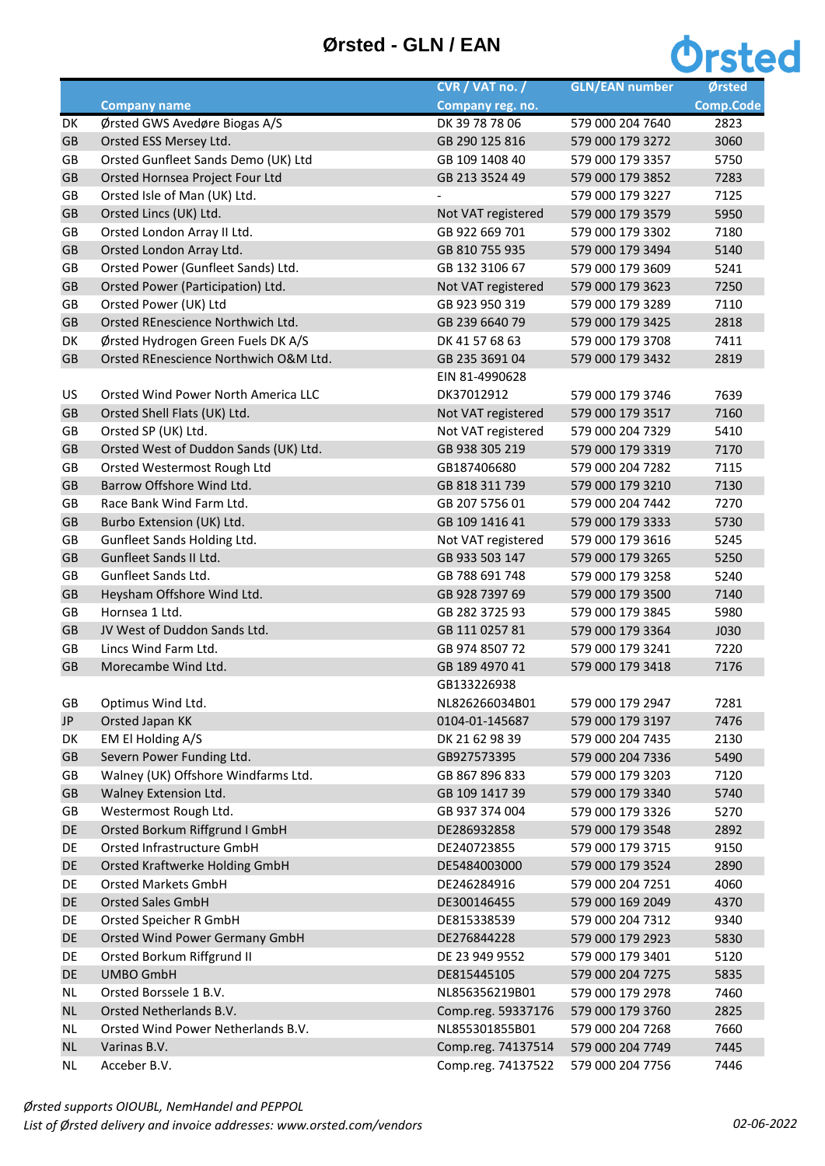## **Ørsted - GLN / EAN**



|           |                                       | CVR / VAT no. /    | <b>GLN/EAN number</b> | Ørsted           |
|-----------|---------------------------------------|--------------------|-----------------------|------------------|
|           | <b>Company name</b>                   | Company reg. no.   |                       | <b>Comp.Code</b> |
| DK        | Ørsted GWS Avedøre Biogas A/S         | DK 39 78 78 06     | 579 000 204 7640      | 2823             |
| GB        | Orsted ESS Mersey Ltd.                | GB 290 125 816     | 579 000 179 3272      | 3060             |
| GB        | Orsted Gunfleet Sands Demo (UK) Ltd   | GB 109 1408 40     | 579 000 179 3357      | 5750             |
| GB        | Orsted Hornsea Project Four Ltd       | GB 213 3524 49     | 579 000 179 3852      | 7283             |
| GB        | Orsted Isle of Man (UK) Ltd.          |                    | 579 000 179 3227      | 7125             |
| GB        | Orsted Lincs (UK) Ltd.                | Not VAT registered | 579 000 179 3579      | 5950             |
| GB        | Orsted London Array II Ltd.           | GB 922 669 701     | 579 000 179 3302      | 7180             |
| GB        | Orsted London Array Ltd.              | GB 810 755 935     | 579 000 179 3494      | 5140             |
| GB        | Orsted Power (Gunfleet Sands) Ltd.    | GB 132 3106 67     | 579 000 179 3609      | 5241             |
| GB        | Orsted Power (Participation) Ltd.     | Not VAT registered | 579 000 179 3623      | 7250             |
| GB        | Orsted Power (UK) Ltd                 | GB 923 950 319     | 579 000 179 3289      | 7110             |
| GB        | Orsted REnescience Northwich Ltd.     | GB 239 6640 79     | 579 000 179 3425      | 2818             |
| DK        | Ørsted Hydrogen Green Fuels DK A/S    | DK 41 57 68 63     | 579 000 179 3708      | 7411             |
| GB        | Orsted REnescience Northwich O&M Ltd. | GB 235 3691 04     | 579 000 179 3432      | 2819             |
|           |                                       | EIN 81-4990628     |                       |                  |
| US        | Orsted Wind Power North America LLC   | DK37012912         | 579 000 179 3746      | 7639             |
| GB        | Orsted Shell Flats (UK) Ltd.          | Not VAT registered | 579 000 179 3517      | 7160             |
| GB        | Orsted SP (UK) Ltd.                   | Not VAT registered | 579 000 204 7329      | 5410             |
| GB        | Orsted West of Duddon Sands (UK) Ltd. | GB 938 305 219     | 579 000 179 3319      | 7170             |
| GB        | Orsted Westermost Rough Ltd           | GB187406680        | 579 000 204 7282      | 7115             |
| GB        | Barrow Offshore Wind Ltd.             | GB 818 311 739     | 579 000 179 3210      | 7130             |
| GB        | Race Bank Wind Farm Ltd.              | GB 207 5756 01     | 579 000 204 7442      | 7270             |
| GB        | Burbo Extension (UK) Ltd.             | GB 109 1416 41     | 579 000 179 3333      | 5730             |
| GB        | Gunfleet Sands Holding Ltd.           | Not VAT registered | 579 000 179 3616      | 5245             |
| GB        | Gunfleet Sands II Ltd.                | GB 933 503 147     | 579 000 179 3265      | 5250             |
| GB        | Gunfleet Sands Ltd.                   | GB 788 691 748     | 579 000 179 3258      | 5240             |
| GB        | Heysham Offshore Wind Ltd.            | GB 928 7397 69     | 579 000 179 3500      | 7140             |
| GB        | Hornsea 1 Ltd.                        | GB 282 3725 93     | 579 000 179 3845      | 5980             |
| GB        | JV West of Duddon Sands Ltd.          | GB 111 0257 81     | 579 000 179 3364      | <b>J030</b>      |
| GB        | Lincs Wind Farm Ltd.                  | GB 974 8507 72     | 579 000 179 3241      | 7220             |
| GB        | Morecambe Wind Ltd.                   | GB 189 4970 41     | 579 000 179 3418      | 7176             |
|           |                                       | GB133226938        |                       |                  |
| GB        | Optimus Wind Ltd.                     | NL826266034B01     | 579 000 179 2947      | 7281             |
| JP        | Orsted Japan KK                       | 0104-01-145687     | 579 000 179 3197      | 7476             |
| DK        | EM El Holding A/S                     | DK 21 62 98 39     | 579 000 204 7435      | 2130             |
| GB        | Severn Power Funding Ltd.             | GB927573395        | 579 000 204 7336      | 5490             |
| GB        | Walney (UK) Offshore Windfarms Ltd.   | GB 867 896 833     | 579 000 179 3203      | 7120             |
| GB        | Walney Extension Ltd.                 | GB 109 1417 39     | 579 000 179 3340      | 5740             |
| GB        | Westermost Rough Ltd.                 | GB 937 374 004     | 579 000 179 3326      | 5270             |
| DE        | Orsted Borkum Riffgrund I GmbH        | DE286932858        | 579 000 179 3548      | 2892             |
| DE        | Orsted Infrastructure GmbH            | DE240723855        | 579 000 179 3715      | 9150             |
| DE        | Orsted Kraftwerke Holding GmbH        | DE5484003000       | 579 000 179 3524      | 2890             |
| DE        | <b>Orsted Markets GmbH</b>            | DE246284916        | 579 000 204 7251      | 4060             |
| DE        | <b>Orsted Sales GmbH</b>              | DE300146455        | 579 000 169 2049      | 4370             |
| DE        | Orsted Speicher R GmbH                | DE815338539        | 579 000 204 7312      | 9340             |
| DE        | Orsted Wind Power Germany GmbH        | DE276844228        | 579 000 179 2923      | 5830             |
| DE        | Orsted Borkum Riffgrund II            | DE 23 949 9552     | 579 000 179 3401      | 5120             |
| DE        | <b>UMBO GmbH</b>                      | DE815445105        | 579 000 204 7275      | 5835             |
| <b>NL</b> | Orsted Borssele 1 B.V.                | NL856356219B01     | 579 000 179 2978      | 7460             |
| <b>NL</b> | Orsted Netherlands B.V.               | Comp.reg. 59337176 | 579 000 179 3760      | 2825             |
| <b>NL</b> | Orsted Wind Power Netherlands B.V.    | NL855301855B01     | 579 000 204 7268      | 7660             |
| <b>NL</b> | Varinas B.V.                          | Comp.reg. 74137514 | 579 000 204 7749      | 7445             |
| <b>NL</b> | Acceber B.V.                          | Comp.reg. 74137522 | 579 000 204 7756      | 7446             |
|           |                                       |                    |                       |                  |